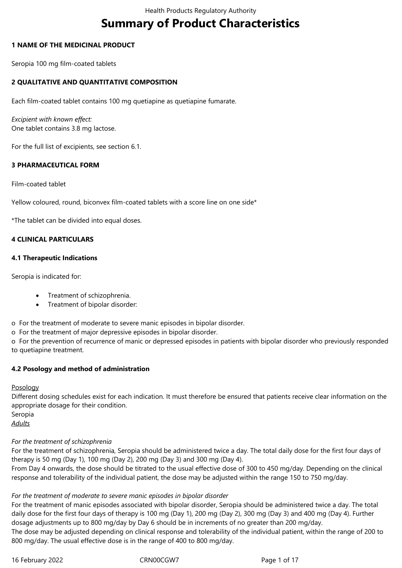# **Summary of Product Characteristics**

## **1 NAME OF THE MEDICINAL PRODUCT**

Seropia 100 mg film-coated tablets

## **2 QUALITATIVE AND QUANTITATIVE COMPOSITION**

Each film-coated tablet contains 100 mg quetiapine as quetiapine fumarate.

*Excipient with known effect:* One tablet contains 3.8 mg lactose.

For the full list of excipients, see section 6.1.

## **3 PHARMACEUTICAL FORM**

Film-coated tablet

Yellow coloured, round, biconvex film-coated tablets with a score line on one side\*

\*The tablet can be divided into equal doses.

### **4 CLINICAL PARTICULARS**

### **4.1 Therapeutic Indications**

Seropia is indicated for:

- Treatment of schizophrenia.
- Treatment of bipolar disorder:

o For the treatment of moderate to severe manic episodes in bipolar disorder.

o For the treatment of major depressive episodes in bipolar disorder.

o For the prevention of recurrence of manic or depressed episodes in patients with bipolar disorder who previously responded to quetiapine treatment.

#### **4.2 Posology and method of administration**

**Posology** 

Different dosing schedules exist for each indication. It must therefore be ensured that patients receive clear information on the appropriate dosage for their condition.

Seropia

*Adults*

# *For the treatment of schizophrenia*

For the treatment of schizophrenia, Seropia should be administered twice a day. The total daily dose for the first four days of therapy is 50 mg (Day 1), 100 mg (Day 2), 200 mg (Day 3) and 300 mg (Day 4).

From Day 4 onwards, the dose should be titrated to the usual effective dose of 300 to 450 mg/day. Depending on the clinical response and tolerability of the individual patient, the dose may be adjusted within the range 150 to 750 mg/day.

# *For the treatment of moderate to severe manic episodes in bipolar disorder*

For the treatment of manic episodes associated with bipolar disorder, Seropia should be administered twice a day. The total daily dose for the first four days of therapy is 100 mg (Day 1), 200 mg (Day 2), 300 mg (Day 3) and 400 mg (Day 4). Further dosage adjustments up to 800 mg/day by Day 6 should be in increments of no greater than 200 mg/day.

The dose may be adjusted depending on clinical response and tolerability of the individual patient, within the range of 200 to 800 mg/day. The usual effective dose is in the range of 400 to 800 mg/day.

16 February 2022 CRN00CGW7 Page 1 of 17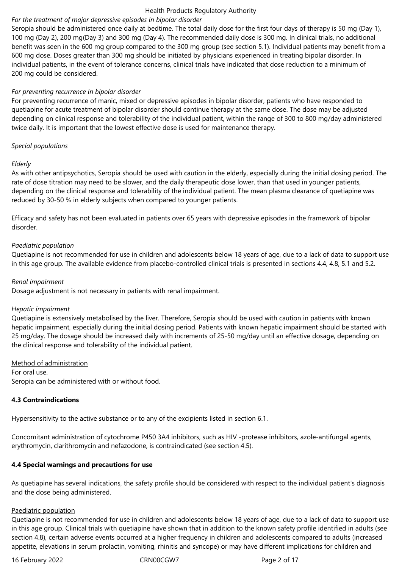## *For the treatment of major depressive episodes in bipolar disorder*

Seropia should be administered once daily at bedtime. The total daily dose for the first four days of therapy is 50 mg (Day 1), 100 mg (Day 2), 200 mg(Day 3) and 300 mg (Day 4). The recommended daily dose is 300 mg. In clinical trials, no additional benefit was seen in the 600 mg group compared to the 300 mg group (see section 5.1). Individual patients may benefit from a 600 mg dose. Doses greater than 300 mg should be initiated by physicians experienced in treating bipolar disorder. In individual patients, in the event of tolerance concerns, clinical trials have indicated that dose reduction to a minimum of 200 mg could be considered.

## *For preventing recurrence in bipolar disorder*

For preventing recurrence of manic, mixed or depressive episodes in bipolar disorder, patients who have responded to quetiapine for acute treatment of bipolar disorder should continue therapy at the same dose. The dose may be adjusted depending on clinical response and tolerability of the individual patient, within the range of 300 to 800 mg/day administered twice daily. It is important that the lowest effective dose is used for maintenance therapy.

#### *Special populations*

#### *Elderly*

As with other antipsychotics, Seropia should be used with caution in the elderly, especially during the initial dosing period. The rate of dose titration may need to be slower, and the daily therapeutic dose lower, than that used in younger patients, depending on the clinical response and tolerability of the individual patient. The mean plasma clearance of quetiapine was reduced by 30‑50 % in elderly subjects when compared to younger patients.

Efficacy and safety has not been evaluated in patients over 65 years with depressive episodes in the framework of bipolar disorder.

### *Paediatric population*

Quetiapine is not recommended for use in children and adolescents below 18 years of age, due to a lack of data to support use in this age group. The available evidence from placebo-controlled clinical trials is presented in sections 4.4, 4.8, 5.1 and 5.2.

#### *Renal impairment*

Dosage adjustment is not necessary in patients with renal impairment.

#### *Hepatic impairment*

Quetiapine is extensively metabolised by the liver. Therefore, Seropia should be used with caution in patients with known hepatic impairment, especially during the initial dosing period. Patients with known hepatic impairment should be started with 25 mg/day. The dosage should be increased daily with increments of 25‑50 mg/day until an effective dosage, depending on the clinical response and tolerability of the individual patient.

## Method of administration

For oral use. Seropia can be administered with or without food.

## **4.3 Contraindications**

Hypersensitivity to the active substance or to any of the excipients listed in section 6.1.

Concomitant administration of cytochrome P450 3A4 inhibitors, such as HIV -protease inhibitors, azole-antifungal agents, erythromycin, clarithromycin and nefazodone, is contraindicated (see section 4.5).

## **4.4 Special warnings and precautions for use**

As quetiapine has several indications, the safety profile should be considered with respect to the individual patient's diagnosis and the dose being administered.

#### Paediatric population

Quetiapine is not recommended for use in children and adolescents below 18 years of age, due to a lack of data to support use in this age group. Clinical trials with quetiapine have shown that in addition to the known safety profile identified in adults (see section 4.8), certain adverse events occurred at a higher frequency in children and adolescents compared to adults (increased appetite, elevations in serum prolactin, vomiting, rhinitis and syncope) or may have different implications for children and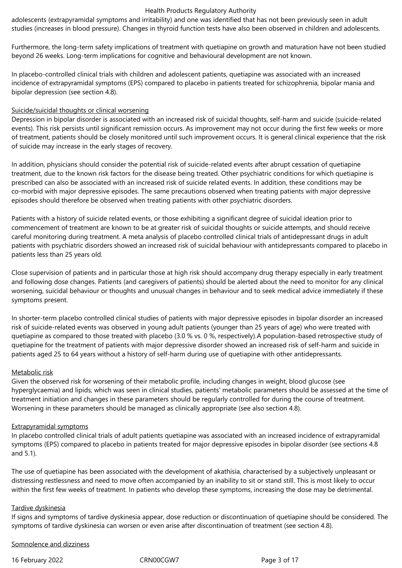adolescents (extrapyramidal symptoms and irritability) and one was identified that has not been previously seen in adult studies (increases in blood pressure). Changes in thyroid function tests have also been observed in children and adolescents.

Furthermore, the long-term safety implications of treatment with quetiapine on growth and maturation have not been studied beyond 26 weeks. Long-term implications for cognitive and behavioural development are not known.

In placebo-controlled clinical trials with children and adolescent patients, quetiapine was associated with an increased incidence of extrapyramidal symptoms (EPS) compared to placebo in patients treated for schizophrenia, bipolar mania and bipolar depression (see section 4.8).

#### Suicide/suicidal thoughts or clinical worsening

Depression in bipolar disorder is associated with an increased risk of suicidal thoughts, self-harm and suicide (suicide-related events). This risk persists until significant remission occurs. As improvement may not occur during the first few weeks or more of treatment, patients should be closely monitored until such improvement occurs. It is general clinical experience that the risk of suicide may increase in the early stages of recovery.

In addition, physicians should consider the potential risk of suicide-related events after abrupt cessation of quetiapine treatment, due to the known risk factors for the disease being treated. Other psychiatric conditions for which quetiapine is prescribed can also be associated with an increased risk of suicide related events. In addition, these conditions may be co-morbid with major depressive episodes. The same precautions observed when treating patients with major depressive episodes should therefore be observed when treating patients with other psychiatric disorders.

Patients with a history of suicide related events, or those exhibiting a significant degree of suicidal ideation prior to commencement of treatment are known to be at greater risk of suicidal thoughts or suicide attempts, and should receive careful monitoring during treatment. A meta analysis of placebo controlled clinical trials of antidepressant drugs in adult patients with psychiatric disorders showed an increased risk of suicidal behaviour with antidepressants compared to placebo in patients less than 25 years old.

Close supervision of patients and in particular those at high risk should accompany drug therapy especially in early treatment and following dose changes. Patients (and caregivers of patients) should be alerted about the need to monitor for any clinical worsening, suicidal behaviour or thoughts and unusual changes in behaviour and to seek medical advice immediately if these symptoms present.

In shorter-term placebo controlled clinical studies of patients with major depressive episodes in bipolar disorder an increased risk of suicide-related events was observed in young adult patients (younger than 25 years of age) who were treated with quetiapine as compared to those treated with placebo (3.0 % vs. 0 %, respectively).A population-based retrospective study of quetiapine for the treatment of patients with major depressive disorder showed an increased risk of self-harm and suicide in patients aged 25 to 64 years without a history of self-harm during use of quetiapine with other antidepressants.

## Metabolic risk

Given the observed risk for worsening of their metabolic profile, including changes in weight, blood glucose (see hyperglycaemia) and lipids, which was seen in clinical studies, patients' metabolic parameters should be assessed at the time of treatment initiation and changes in these parameters should be regularly controlled for during the course of treatment. Worsening in these parameters should be managed as clinically appropriate (see also section 4.8).

#### Extrapyramidal symptoms

In placebo controlled clinical trials of adult patients quetiapine was associated with an increased incidence of extrapyramidal symptoms (EPS) compared to placebo in patients treated for major depressive episodes in bipolar disorder (see sections 4.8 and 5.1).

The use of quetiapine has been associated with the development of akathisia, characterised by a subjectively unpleasant or distressing restlessness and need to move often accompanied by an inability to sit or stand still. This is most likely to occur within the first few weeks of treatment. In patients who develop these symptoms, increasing the dose may be detrimental.

#### Tardive dyskinesia

If signs and symptoms of tardive dyskinesia appear, dose reduction or discontinuation of quetiapine should be considered. The symptoms of tardive dyskinesia can worsen or even arise after discontinuation of treatment (see section 4.8).

Somnolence and dizziness

16 February 2022 CRN00CGW7 Page 3 of 17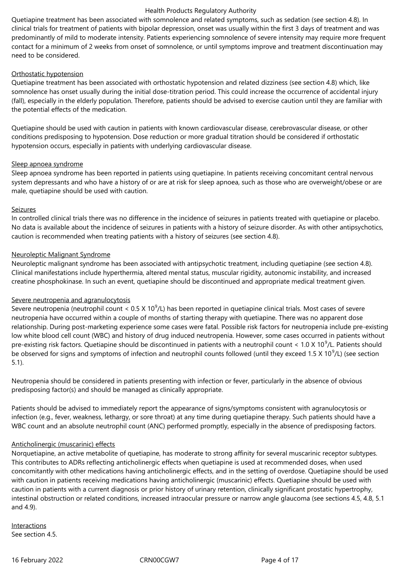Quetiapine treatment has been associated with somnolence and related symptoms, such as sedation (see section 4.8). In clinical trials for treatment of patients with bipolar depression, onset was usually within the first 3 days of treatment and was predominantly of mild to moderate intensity. Patients experiencing somnolence of severe intensity may require more frequent contact for a minimum of 2 weeks from onset of somnolence, or until symptoms improve and treatment discontinuation may need to be considered.

#### Orthostatic hypotension

Quetiapine treatment has been associated with orthostatic hypotension and related dizziness (see section 4.8) which, like somnolence has onset usually during the initial dose-titration period. This could increase the occurrence of accidental injury (fall), especially in the elderly population. Therefore, patients should be advised to exercise caution until they are familiar with the potential effects of the medication.

Quetiapine should be used with caution in patients with known cardiovascular disease, cerebrovascular disease, or other conditions predisposing to hypotension. Dose reduction or more gradual titration should be considered if orthostatic hypotension occurs, especially in patients with underlying cardiovascular disease.

### Sleep apnoea syndrome

Sleep apnoea syndrome has been reported in patients using quetiapine. In patients receiving concomitant central nervous system depressants and who have a history of or are at risk for sleep apnoea, such as those who are overweight/obese or are male, quetiapine should be used with caution.

#### Seizures

In controlled clinical trials there was no difference in the incidence of seizures in patients treated with quetiapine or placebo. No data is available about the incidence of seizures in patients with a history of seizure disorder. As with other antipsychotics, caution is recommended when treating patients with a history of seizures (see section 4.8).

### Neuroleptic Malignant Syndrome

Neuroleptic malignant syndrome has been associated with antipsychotic treatment, including quetiapine (see section 4.8). Clinical manifestations include hyperthermia, altered mental status, muscular rigidity, autonomic instability, and increased creatine phosphokinase. In such an event, quetiapine should be discontinued and appropriate medical treatment given.

## Severe neutropenia and agranulocytosis

Severe neutropenia (neutrophil count <  $0.5$  X 10<sup>9</sup>/L) has been reported in quetiapine clinical trials. Most cases of severe neutropenia have occurred within a couple of months of starting therapy with quetiapine. There was no apparent dose relationship. During post-marketing experience some cases were fatal. Possible risk factors for neutropenia include pre-existing low white blood cell count (WBC) and history of drug induced neutropenia. However, some cases occurred in patients without pre-existing risk factors. Quetiapine should be discontinued in patients with a neutrophil count < 1.0 X 10<sup>9</sup>/L. Patients should be observed for signs and symptoms of infection and neutrophil counts followed (until they exceed 1.5 X 10<sup>9</sup>/L) (see section 5.1).

Neutropenia should be considered in patients presenting with infection or fever, particularly in the absence of obvious predisposing factor(s) and should be managed as clinically appropriate.

Patients should be advised to immediately report the appearance of signs/symptoms consistent with agranulocytosis or infection (e.g., fever, weakness, lethargy, or sore throat) at any time during quetiapine therapy. Such patients should have a WBC count and an absolute neutrophil count (ANC) performed promptly, especially in the absence of predisposing factors.

## Anticholinergic (muscarinic) effects

Norquetiapine, an active metabolite of quetiapine, has moderate to strong affinity for several muscarinic receptor subtypes. This contributes to ADRs reflecting anticholinergic effects when quetiapine is used at recommended doses, when used concomitantly with other medications having anticholinergic effects, and in the setting of overdose. Quetiapine should be used with caution in patients receiving medications having anticholinergic (muscarinic) effects. Quetiapine should be used with caution in patients with a current diagnosis or prior history of urinary retention, clinically significant prostatic hypertrophy, intestinal obstruction or related conditions, increased intraocular pressure or narrow angle glaucoma (see sections 4.5, 4.8, 5.1 and 4.9).

Interactions See section 4.5.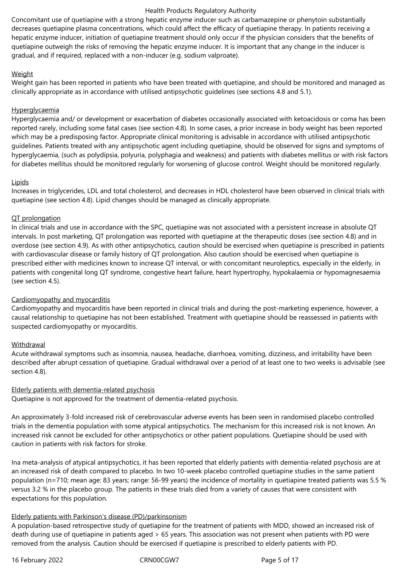Concomitant use of quetiapine with a strong hepatic enzyme inducer such as carbamazepine or phenytoin substantially decreases quetiapine plasma concentrations, which could affect the efficacy of quetiapine therapy. In patients receiving a hepatic enzyme inducer, initiation of quetiapine treatment should only occur if the physician considers that the benefits of quetiapine outweigh the risks of removing the hepatic enzyme inducer. It is important that any change in the inducer is gradual, and if required, replaced with a non-inducer (e.g. sodium valproate).

## **Weight**

Weight gain has been reported in patients who have been treated with quetiapine, and should be monitored and managed as clinically appropriate as in accordance with utilised antipsychotic guidelines (see sections 4.8 and 5.1).

## **Hyperglycaemia**

Hyperglycaemia and/ or development or exacerbation of diabetes occasionally associated with ketoacidosis or coma has been reported rarely, including some fatal cases (see section 4.8). In some cases, a prior increase in body weight has been reported which may be a predisposing factor. Appropriate clinical monitoring is advisable in accordance with utilised antipsychotic guidelines. Patients treated with any antipsychotic agent including quetiapine, should be observed for signs and symptoms of hyperglycaemia, (such as polydipsia, polyuria, polyphagia and weakness) and patients with diabetes mellitus or with risk factors for diabetes mellitus should be monitored regularly for worsening of glucose control. Weight should be monitored regularly.

### Lipids

Increases in triglycerides, LDL and total cholesterol, and decreases in HDL cholesterol have been observed in clinical trials with quetiapine (see section 4.8). Lipid changes should be managed as clinically appropriate.

### QT prolongation

In clinical trials and use in accordance with the SPC, quetiapine was not associated with a persistent increase in absolute QT intervals. In post marketing, QT prolongation was reported with quetiapine at the therapeutic doses (see section 4.8) and in overdose (see section 4.9). As with other antipsychotics, caution should be exercised when quetiapine is prescribed in patients with cardiovascular disease or family history of QT prolongation. Also caution should be exercised when quetiapine is prescribed either with medicines known to increase QT interval, or with concomitant neuroleptics, especially in the elderly, in patients with congenital long QT syndrome, congestive heart failure, heart hypertrophy, hypokalaemia or hypomagnesaemia (see section 4.5).

## Cardiomyopathy and myocarditis

Cardiomyopathy and myocarditis have been reported in clinical trials and during the post-marketing experience, however, a causal relationship to quetiapine has not been established. Treatment with quetiapine should be reassessed in patients with suspected cardiomyopathy or myocarditis.

## Withdrawal

Acute withdrawal symptoms such as insomnia, nausea, headache, diarrhoea, vomiting, dizziness, and irritability have been described after abrupt cessation of quetiapine. Gradual withdrawal over a period of at least one to two weeks is advisable (see section 4.8).

## Elderly patients with dementia-related psychosis

Quetiapine is not approved for the treatment of dementia-related psychosis.

An approximately 3-fold increased risk of cerebrovascular adverse events has been seen in randomised placebo controlled trials in the dementia population with some atypical antipsychotics. The mechanism for this increased risk is not known. An increased risk cannot be excluded for other antipsychotics or other patient populations. Quetiapine should be used with caution in patients with risk factors for stroke.

Ina meta-analysis of atypical antipsychotics, it has been reported that elderly patients with dementia-related psychosis are at an increased risk of death compared to placebo. In two 10-week placebo controlled quetiapine studies in the same patient population (n=710; mean age: 83 years; range: 56-99 years) the incidence of mortality in quetiapine treated patients was 5.5 % versus 3.2 % in the placebo group. The patients in these trials died from a variety of causes that were consistent with expectations for this population.

## Elderly patients with Parkinson's disease (PD)/parkinsonism

A population-based retrospective study of quetiapine for the treatment of patients with MDD, showed an increased risk of death during use of quetiapine in patients aged > 65 years. This association was not present when patients with PD were removed from the analysis. Caution should be exercised if quetiapine is prescribed to elderly patients with PD.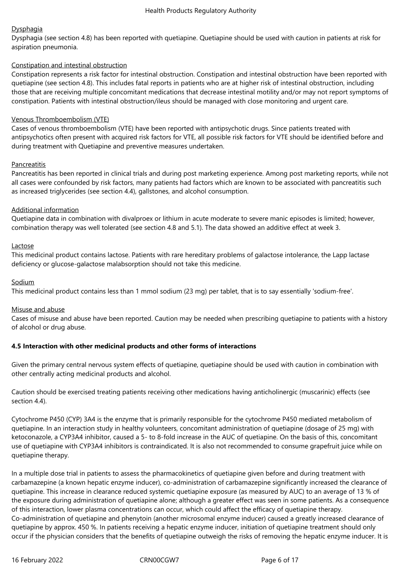## **Dysphagia**

Dysphagia (see section 4.8) has been reported with quetiapine. Quetiapine should be used with caution in patients at risk for aspiration pneumonia.

#### Constipation and intestinal obstruction

Constipation represents a risk factor for intestinal obstruction. Constipation and intestinal obstruction have been reported with quetiapine (see section 4.8). This includes fatal reports in patients who are at higher risk of intestinal obstruction, including those that are receiving multiple concomitant medications that decrease intestinal motility and/or may not report symptoms of constipation. Patients with intestinal obstruction/ileus should be managed with close monitoring and urgent care.

#### Venous Thromboembolism (VTE)

Cases of venous thromboembolism (VTE) have been reported with antipsychotic drugs. Since patients treated with antipsychotics often present with acquired risk factors for VTE, all possible risk factors for VTE should be identified before and during treatment with Quetiapine and preventive measures undertaken.

### **Pancreatitis**

Pancreatitis has been reported in clinical trials and during post marketing experience. Among post marketing reports, while not all cases were confounded by risk factors, many patients had factors which are known to be associated with pancreatitis such as increased triglycerides (see section 4.4), gallstones, and alcohol consumption.

### Additional information

Quetiapine data in combination with divalproex or lithium in acute moderate to severe manic episodes is limited; however, combination therapy was well tolerated (see section 4.8 and 5.1). The data showed an additive effect at week 3.

### Lactose

This medicinal product contains lactose. Patients with rare hereditary problems of galactose intolerance, the Lapp lactase deficiency or glucose-galactose malabsorption should not take this medicine.

### Sodium

This medicinal product contains less than 1 mmol sodium (23 mg) per tablet, that is to say essentially 'sodium-free'.

#### Misuse and abuse

Cases of misuse and abuse have been reported. Caution may be needed when prescribing quetiapine to patients with a history of alcohol or drug abuse.

## **4.5 Interaction with other medicinal products and other forms of interactions**

Given the primary central nervous system effects of quetiapine, quetiapine should be used with caution in combination with other centrally acting medicinal products and alcohol.

Caution should be exercised treating patients receiving other medications having anticholinergic (muscarinic) effects (see section 4.4).

Cytochrome P450 (CYP) 3A4 is the enzyme that is primarily responsible for the cytochrome P450 mediated metabolism of quetiapine. In an interaction study in healthy volunteers, concomitant administration of quetiapine (dosage of 25 mg) with ketoconazole, a CYP3A4 inhibitor, caused a 5- to 8-fold increase in the AUC of quetiapine. On the basis of this, concomitant use of quetiapine with CYP3A4 inhibitors is contraindicated. It is also not recommended to consume grapefruit juice while on quetiapine therapy.

In a multiple dose trial in patients to assess the pharmacokinetics of quetiapine given before and during treatment with carbamazepine (a known hepatic enzyme inducer), co-administration of carbamazepine significantly increased the clearance of quetiapine. This increase in clearance reduced systemic quetiapine exposure (as measured by AUC) to an average of 13 % of the exposure during administration of quetiapine alone; although a greater effect was seen in some patients. As a consequence of this interaction, lower plasma concentrations can occur, which could affect the efficacy of quetiapine therapy. Co-administration of quetiapine and phenytoin (another microsomal enzyme inducer) caused a greatly increased clearance of quetiapine by approx. 450 %. In patients receiving a hepatic enzyme inducer, initiation of quetiapine treatment should only occur if the physician considers that the benefits of quetiapine outweigh the risks of removing the hepatic enzyme inducer. It is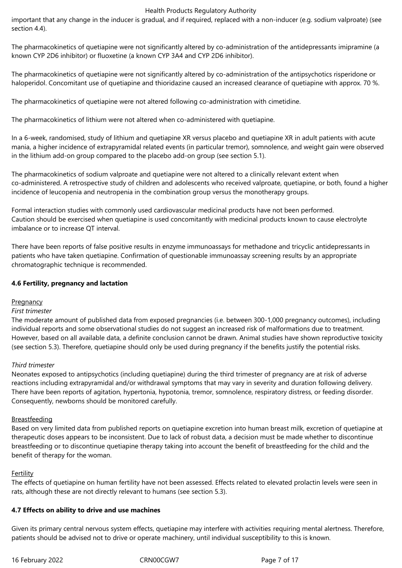important that any change in the inducer is gradual, and if required, replaced with a non-inducer (e.g. sodium valproate) (see section 4.4).

The pharmacokinetics of quetiapine were not significantly altered by co-administration of the antidepressants imipramine (a known CYP 2D6 inhibitor) or fluoxetine (a known CYP 3A4 and CYP 2D6 inhibitor).

The pharmacokinetics of quetiapine were not significantly altered by co-administration of the antipsychotics risperidone or haloperidol. Concomitant use of quetiapine and thioridazine caused an increased clearance of quetiapine with approx. 70 %.

The pharmacokinetics of quetiapine were not altered following co-administration with cimetidine.

The pharmacokinetics of lithium were not altered when co-administered with quetiapine.

In a 6-week, randomised, study of lithium and quetiapine XR versus placebo and quetiapine XR in adult patients with acute mania, a higher incidence of extrapyramidal related events (in particular tremor), somnolence, and weight gain were observed in the lithium add-on group compared to the placebo add-on group (see section 5.1).

The pharmacokinetics of sodium valproate and quetiapine were not altered to a clinically relevant extent when co-administered. A retrospective study of children and adolescents who received valproate, quetiapine, or both, found a higher incidence of leucopenia and neutropenia in the combination group versus the monotherapy groups.

Formal interaction studies with commonly used cardiovascular medicinal products have not been performed. Caution should be exercised when quetiapine is used concomitantly with medicinal products known to cause electrolyte imbalance or to increase QT interval.

There have been reports of false positive results in enzyme immunoassays for methadone and tricyclic antidepressants in patients who have taken quetiapine. Confirmation of questionable immunoassay screening results by an appropriate chromatographic technique is recommended.

## **4.6 Fertility, pregnancy and lactation**

#### **Pregnancy**

#### *First trimester*

The moderate amount of published data from exposed pregnancies (i.e. between 300-1,000 pregnancy outcomes), including individual reports and some observational studies do not suggest an increased risk of malformations due to treatment. However, based on all available data, a definite conclusion cannot be drawn. Animal studies have shown reproductive toxicity (see section 5.3). Therefore, quetiapine should only be used during pregnancy if the benefits justify the potential risks.

#### *Third trimester*

Neonates exposed to antipsychotics (including quetiapine) during the third trimester of pregnancy are at risk of adverse reactions including extrapyramidal and/or withdrawal symptoms that may vary in severity and duration following delivery. There have been reports of agitation, hypertonia, hypotonia, tremor, somnolence, respiratory distress, or feeding disorder. Consequently, newborns should be monitored carefully.

#### Breastfeeding

Based on very limited data from published reports on quetiapine excretion into human breast milk, excretion of quetiapine at therapeutic doses appears to be inconsistent. Due to lack of robust data, a decision must be made whether to discontinue breastfeeding or to discontinue quetiapine therapy taking into account the benefit of breastfeeding for the child and the benefit of therapy for the woman.

#### **Fertility**

The effects of quetiapine on human fertility have not been assessed. Effects related to elevated prolactin levels were seen in rats, although these are not directly relevant to humans (see section 5.3).

## **4.7 Effects on ability to drive and use machines**

Given its primary central nervous system effects, quetiapine may interfere with activities requiring mental alertness. Therefore, patients should be advised not to drive or operate machinery, until individual susceptibility to this is known.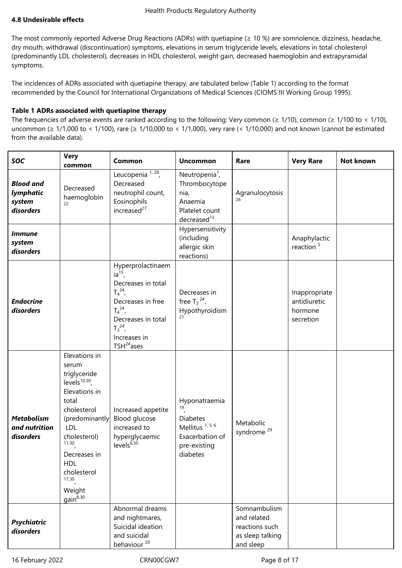## **4.8 Undesirable effects**

The most commonly reported Adverse Drug Reactions (ADRs) with quetiapine (≥ 10 %) are somnolence, dizziness, headache, dry mouth, withdrawal (discontinuation) symptoms, elevations in serum triglyceride levels, elevations in total cholesterol (predominantly LDL cholesterol), decreases in HDL cholesterol, weight gain, decreased haemoglobin and extrapyramidal symptoms.

The incidences of ADRs associated with quetiapine therapy, are tabulated below (Table 1) according to the format recommended by the Council for International Organizations of Medical Sciences (CIOMS III Working Group 1995).

## **Table 1 ADRs associated with quetiapine therapy**

The frequencies of adverse events are ranked according to the following: Very common ( $\geq 1/10$ ), common ( $\geq 1/100$  to < 1/10), uncommon (≥ 1/1,000 to < 1/100), rare (≥ 1/10,000 to < 1/1,000), very rare (< 1/10,000) and not known (cannot be estimated from the available data).

| <b>SOC</b>                                           | <b>Very</b><br>common                                                                                                                                                                                                                            | Common                                                                                                                                                                       | <b>Uncommon</b>                                                                                                      | Rare                                                                           | <b>Very Rare</b>                                      | Not known |
|------------------------------------------------------|--------------------------------------------------------------------------------------------------------------------------------------------------------------------------------------------------------------------------------------------------|------------------------------------------------------------------------------------------------------------------------------------------------------------------------------|----------------------------------------------------------------------------------------------------------------------|--------------------------------------------------------------------------------|-------------------------------------------------------|-----------|
| <b>Blood and</b><br>lymphatic<br>system<br>disorders | Decreased<br>haemoglobin<br>22                                                                                                                                                                                                                   | Leucopenia $1, 28$ ,<br>Decreased<br>neutrophil count,<br>Eosinophils<br>increased <sup>27</sup>                                                                             | Neutropenia <sup>1</sup> ,<br>Thrombocytope<br>nia,<br>Anaemia<br>Platelet count<br>decreased <sup>13</sup>          | Agranulocytosis                                                                |                                                       |           |
| <i><b>Immune</b></i><br>system<br>disorders          |                                                                                                                                                                                                                                                  |                                                                                                                                                                              | Hypersensitivity<br>(including<br>allergic skin<br>reactions)                                                        |                                                                                | Anaphylactic<br>reaction <sup>5</sup>                 |           |
| <b>Endocrine</b><br>disorders                        |                                                                                                                                                                                                                                                  | Hyperprolactinaem<br>$ia^{15}$<br>Decreases in total<br>$T_4^{24}$<br>Decreases in free<br>$T_4^{24}$<br>Decreases in total<br>$T_3^{24}$<br>Increases in<br>$TSH^{24}$ ases | Decreases in<br>free $T_3^{24}$ ,<br>Hypothyroidism<br>21                                                            |                                                                                | Inappropriate<br>antidiuretic<br>hormone<br>secretion |           |
| <b>Metabolism</b><br>and nutrition<br>disorders      | Elevations in<br>serum<br>triglyceride<br>levels $^{10,30}$ ,<br>Elevations in<br>total<br>cholesterol<br>(predominantly<br><b>LDL</b><br>cholesterol)<br>11,30<br>Decreases in<br><b>HDL</b><br>cholesterol<br>17,30<br>Weight<br>$gain^{8,30}$ | Increased appetite<br>Blood glucose<br>increased to<br>hyperglycaemic<br>levels $^{6,30}$                                                                                    | Hyponatraemia<br>19<br><b>Diabetes</b><br>Mellitus <sup>1, 5, 6</sup><br>Exacerbation of<br>pre-existing<br>diabetes | Metabolic<br>syndrome <sup>29</sup>                                            |                                                       |           |
| <b>Psychiatric</b><br>disorders                      |                                                                                                                                                                                                                                                  | Abnormal dreams<br>and nightmares,<br>Suicidal ideation<br>and suicidal<br>behaviour <sup>20</sup>                                                                           |                                                                                                                      | Somnambulism<br>and related<br>reactions such<br>as sleep talking<br>and sleep |                                                       |           |

16 February 2022 CRN00CGW7 Page 8 of 17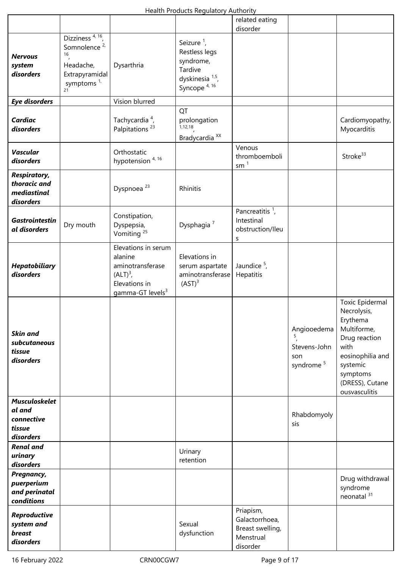|                                                                     |                                                                                                                               |                                                                                                                   | Health Froughts Regulatory Authority                                                                                       |                                                                          |                                                                  |                                                                                                                                                                    |
|---------------------------------------------------------------------|-------------------------------------------------------------------------------------------------------------------------------|-------------------------------------------------------------------------------------------------------------------|----------------------------------------------------------------------------------------------------------------------------|--------------------------------------------------------------------------|------------------------------------------------------------------|--------------------------------------------------------------------------------------------------------------------------------------------------------------------|
|                                                                     |                                                                                                                               |                                                                                                                   |                                                                                                                            | related eating<br>disorder                                               |                                                                  |                                                                                                                                                                    |
| <b>Nervous</b><br>system<br>disorders                               | Dizziness <sup>4, 16</sup> ,<br>Somnolence <sup>2,</sup><br>16<br>Headache,<br>Extrapyramidal<br>symptoms <sup>1,</sup><br>21 | Dysarthria                                                                                                        | Seizure <sup>1</sup> ,<br>Restless legs<br>syndrome,<br>Tardive<br>dyskinesia <sup>1,5</sup> ,<br>Syncope <sup>4, 16</sup> |                                                                          |                                                                  |                                                                                                                                                                    |
| <b>Eye disorders</b>                                                |                                                                                                                               | Vision blurred                                                                                                    |                                                                                                                            |                                                                          |                                                                  |                                                                                                                                                                    |
| <b>Cardiac</b><br>disorders                                         |                                                                                                                               | Tachycardia <sup>4</sup> ,<br>Palpitations <sup>23</sup>                                                          | QT<br>prolongation<br>1,12,18<br>Bradycardia <sup>XX</sup>                                                                 |                                                                          |                                                                  | Cardiomyopathy,<br>Myocarditis                                                                                                                                     |
| <b>Vascular</b><br>disorders                                        |                                                                                                                               | Orthostatic<br>hypotension <sup>4, 16</sup>                                                                       |                                                                                                                            | Venous<br>thromboemboli<br>sm <sup>1</sup>                               |                                                                  | Stroke <sup>33</sup>                                                                                                                                               |
| <b>Respiratory,</b><br>thoracic and<br>mediastinal<br>disorders     |                                                                                                                               | Dyspnoea <sup>23</sup>                                                                                            | Rhinitis                                                                                                                   |                                                                          |                                                                  |                                                                                                                                                                    |
| <b>Gastrointestin</b><br>al disorders                               | Dry mouth                                                                                                                     | Constipation,<br>Dyspepsia,<br>Vomiting <sup>25</sup>                                                             | Dysphagia <sup>7</sup>                                                                                                     | Pancreatitis $1$ ,<br>Intestinal<br>obstruction/lleu<br>S                |                                                                  |                                                                                                                                                                    |
| <b>Hepatobiliary</b><br>disorders                                   |                                                                                                                               | Elevations in serum<br>alanine<br>aminotransferase<br>$(ALT)3$ ,<br>Elevations in<br>gamma-GT levels <sup>3</sup> | Elevations in<br>serum aspartate<br>aminotransferase<br>(AST) <sup>3</sup>                                                 | Jaundice $5$ ,<br>Hepatitis                                              |                                                                  |                                                                                                                                                                    |
| <b>Skin and</b><br>subcutaneous<br>tissue<br>disorders              |                                                                                                                               |                                                                                                                   |                                                                                                                            |                                                                          | Angiooedema<br>5<br>Stevens-John<br>son<br>syndrome <sup>5</sup> | Toxic Epidermal<br>Necrolysis,<br>Erythema<br>Multiforme,<br>Drug reaction<br>with<br>eosinophilia and<br>systemic<br>symptoms<br>(DRESS), Cutane<br>ousvasculitis |
| <b>Musculoskelet</b><br>al and<br>connective<br>tissue<br>disorders |                                                                                                                               |                                                                                                                   |                                                                                                                            |                                                                          | Rhabdomyoly<br>sis                                               |                                                                                                                                                                    |
| <b>Renal and</b><br>urinary<br>disorders                            |                                                                                                                               |                                                                                                                   | Urinary<br>retention                                                                                                       |                                                                          |                                                                  |                                                                                                                                                                    |
| Pregnancy,<br>puerperium<br>and perinatal<br>conditions             |                                                                                                                               |                                                                                                                   |                                                                                                                            |                                                                          |                                                                  | Drug withdrawal<br>syndrome<br>neonatal <sup>31</sup>                                                                                                              |
| Reproductive<br>system and<br>breast<br>disorders                   |                                                                                                                               |                                                                                                                   | Sexual<br>dysfunction                                                                                                      | Priapism,<br>Galactorrhoea,<br>Breast swelling,<br>Menstrual<br>disorder |                                                                  |                                                                                                                                                                    |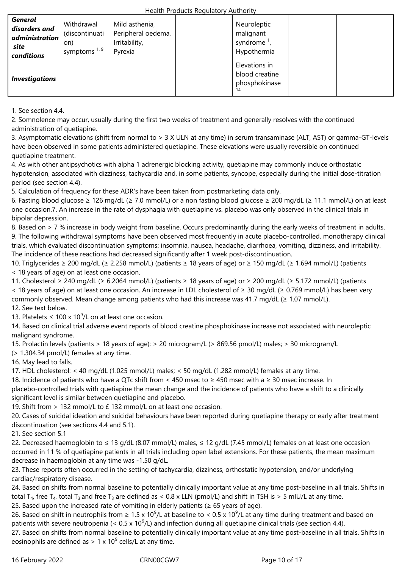| <b>General</b><br>disorders and<br>administration<br>site<br>conditions | Withdrawal<br>(discontinuati<br>on)<br>symptoms $1, 9$ | Mild asthenia,<br>Peripheral oedema,<br>Irritability,<br>Pyrexia | Neuroleptic<br>malignant<br>syndrome $^1$ ,<br>Hypothermia |  |
|-------------------------------------------------------------------------|--------------------------------------------------------|------------------------------------------------------------------|------------------------------------------------------------|--|
| <b>Investigations</b>                                                   |                                                        |                                                                  | Elevations in<br>blood creatine<br>phosphokinase           |  |

1. See section 4.4.

2. Somnolence may occur, usually during the first two weeks of treatment and generally resolves with the continued administration of quetiapine.

3. Asymptomatic elevations (shift from normal to > 3 X ULN at any time) in serum transaminase (ALT, AST) or gamma-GT-levels have been observed in some patients administered quetiapine. These elevations were usually reversible on continued quetiapine treatment.

4. As with other antipsychotics with alpha 1 adrenergic blocking activity, quetiapine may commonly induce orthostatic hypotension, associated with dizziness, tachycardia and, in some patients, syncope, especially during the initial dose-titration period (see section 4.4).

5. Calculation of frequency for these ADR's have been taken from postmarketing data only.

6. Fasting blood glucose ≥ 126 mg/dL (≥ 7.0 mmol/L) or a non fasting blood glucose ≥ 200 mg/dL (≥ 11.1 mmol/L) on at least one occasion.7. An increase in the rate of dysphagia with quetiapine vs. placebo was only observed in the clinical trials in bipolar depression.

8. Based on > 7 % increase in body weight from baseline. Occurs predominantly during the early weeks of treatment in adults. 9. The following withdrawal symptoms have been observed most frequently in acute placebo-controlled, monotherapy clinical trials, which evaluated discontinuation symptoms: insomnia, nausea, headache, diarrhoea, vomiting, dizziness, and irritability. The incidence of these reactions had decreased significantly after 1 week post-discontinuation.

10. Triglycerides ≥ 200 mg/dL (≥ 2.258 mmol/L) (patients ≥ 18 years of age) or ≥ 150 mg/dL (≥ 1.694 mmol/L) (patients < 18 years of age) on at least one occasion.

11. Cholesterol ≥ 240 mg/dL (≥ 6.2064 mmol/L) (patients ≥ 18 years of age) or ≥ 200 mg/dL (≥ 5.172 mmol/L) (patients < 18 years of age) on at least one occasion. An increase in LDL cholesterol of ≥ 30 mg/dL (≥ 0.769 mmol/L) has been very commonly observed. Mean change among patients who had this increase was 41.7 mg/dL ( $\geq 1.07$  mmol/L). 12. See text below.

13. Platelets  $\leq 100 \times 10^9$ /L on at least one occasion.

14. Based on clinical trial adverse event reports of blood creatine phosphokinase increase not associated with neuroleptic malignant syndrome.

15. Prolactin levels (patients > 18 years of age): > 20 microgram/L (> 869.56 pmol/L) males; > 30 microgram/L

(> 1,304.34 pmol/L) females at any time.

16. May lead to falls.

17. HDL cholesterol: < 40 mg/dL (1.025 mmol/L) males; < 50 mg/dL (1.282 mmol/L) females at any time.

18. Incidence of patients who have a QTc shift from < 450 msec to ≥ 450 msec with a ≥ 30 msec increase. In placebo-controlled trials with quetiapine the mean change and the incidence of patients who have a shift to a clinically significant level is similar between quetiapine and placebo.

19. Shift from > 132 mmol/L to £ 132 mmol/L on at least one occasion.

20. Cases of suicidal ideation and suicidal behaviours have been reported during quetiapine therapy or early after treatment discontinuation (see sections 4.4 and 5.1).

21. See section 5.1

22. Decreased haemoglobin to ≤ 13 g/dL (8.07 mmol/L) males, ≤ 12 g/dL (7.45 mmol/L) females on at least one occasion occurred in 11 % of quetiapine patients in all trials including open label extensions. For these patients, the mean maximum decrease in haemoglobin at any time was -1.50 g/dL.

23. These reports often occurred in the setting of tachycardia, dizziness, orthostatic hypotension, and/or underlying cardiac/respiratory disease.

24. Based on shifts from normal baseline to potentially clinically important value at any time post-baseline in all trials. Shifts in total T<sub>4</sub>, free T<sub>4</sub>, total T<sub>3</sub> and free T<sub>3</sub> are defined as < 0.8 x LLN (pmol/L) and shift in TSH is > 5 mIU/L at any time. 25. Based upon the increased rate of vomiting in elderly patients ( $\geq 65$  years of age).

26. Based on shift in neutrophils from  $\geq 1.5 \times 10^9$ /L at baseline to < 0.5 x 10<sup>9</sup>/L at any time during treatment and based on patients with severe neutropenia (< 0.5 x 10<sup>9</sup>/L) and infection during all quetiapine clinical trials (see section 4.4).

27. Based on shifts from normal baseline to potentially clinically important value at any time post-baseline in all trials. Shifts in eosinophils are defined as > 1 x 10<sup>9</sup> cells/L at any time.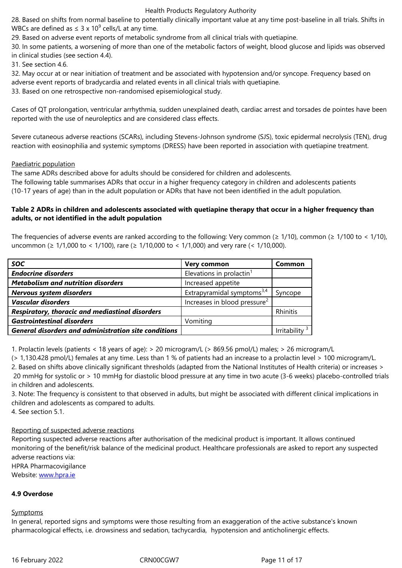29. Based on adverse event reports of metabolic syndrome from all clinical trials with quetiapine.

30. In some patients, a worsening of more than one of the metabolic factors of weight, blood glucose and lipids was observed in clinical studies (see section 4.4).

31. See section 4.6.

32. May occur at or near initiation of treatment and be associated with hypotension and/or syncope. Frequency based on adverse event reports of bradycardia and related events in all clinical trials with quetiapine.

33. Based on one retrospective non-randomised episemiological study.

Cases of QT prolongation, ventricular arrhythmia, sudden unexplained death, cardiac arrest and torsades de pointes have been reported with the use of neuroleptics and are considered class effects.

Severe cutaneous adverse reactions (SCARs), including Stevens-Johnson syndrome (SJS), toxic epidermal necrolysis (TEN), drug reaction with eosinophilia and systemic symptoms (DRESS) have been reported in association with quetiapine treatment.

### Paediatric population

The same ADRs described above for adults should be considered for children and adolescents. The following table summarises ADRs that occur in a higher frequency category in children and adolescents patients (10-17 years of age) than in the adult population or ADRs that have not been identified in the adult population.

## **Table 2 ADRs in children and adolescents associated with quetiapine therapy that occur in a higher frequency than adults, or not identified in the adult population**

The frequencies of adverse events are ranked according to the following: Very common ( $\geq 1/10$ ), common ( $\geq 1/100$  to < 1/10), uncommon (≥ 1/1,000 to < 1/100), rare (≥ 1/10,000 to < 1/1,000) and very rare (< 1/10,000).

| <b>SOC</b>                                                  | Very common                              | Common       |
|-------------------------------------------------------------|------------------------------------------|--------------|
| <b>Endocrine disorders</b>                                  | Elevations in prolactin <sup>1</sup>     |              |
| <b>Metabolism and nutrition disorders</b>                   | Increased appetite                       |              |
| Nervous system disorders                                    | Extrapyramidal symptoms <sup>3,4</sup>   | Syncope      |
| <b>Vascular disorders</b>                                   | Increases in blood pressure <sup>2</sup> |              |
| Respiratory, thoracic and mediastinal disorders             |                                          | Rhinitis     |
| <b>Gastrointestinal disorders</b>                           | Vomiting                                 |              |
| <b>General disorders and administration site conditions</b> |                                          | Irritability |

1. Prolactin levels (patients < 18 years of age): > 20 microgram/L (> 869.56 pmol/L) males; > 26 microgram/L

(> 1,130.428 pmol/L) females at any time. Less than 1 % of patients had an increase to a prolactin level > 100 microgram/L. 2. Based on shifts above clinically significant thresholds (adapted from the National Institutes of Health criteria) or increases > 20 mmHg for systolic or > 10 mmHg for diastolic blood pressure at any time in two acute (3-6 weeks) placebo-controlled trials in children and adolescents.

3. Note: The frequency is consistent to that observed in adults, but might be associated with different clinical implications in children and adolescents as compared to adults.

4. See section 5.1.

## Reporting of suspected adverse reactions

Reporting suspected adverse reactions after authorisation of the medicinal product is important. It allows continued monitoring of the benefit/risk balance of the medicinal product. Healthcare professionals are asked to report any suspected adverse reactions via:

HPRA Pharmacovigilance

Website: www.hpra.ie

## **4.9 Overdose**

## **Sympto[ms](http://www.hpra.ie/)**

In general, reported signs and symptoms were those resulting from an exaggeration of the active substance's known pharmacological effects, i.e. drowsiness and sedation, tachycardia, hypotension and anticholinergic effects.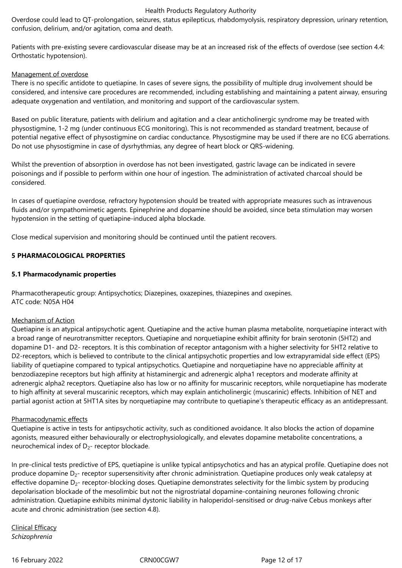Overdose could lead to QT-prolongation, seizures, status epilepticus, rhabdomyolysis, respiratory depression, urinary retention, confusion, delirium, and/or agitation, coma and death.

Patients with pre-existing severe cardiovascular disease may be at an increased risk of the effects of overdose (see section 4.4: Orthostatic hypotension).

### Management of overdose

There is no specific antidote to quetiapine. In cases of severe signs, the possibility of multiple drug involvement should be considered, and intensive care procedures are recommended, including establishing and maintaining a patent airway, ensuring adequate oxygenation and ventilation, and monitoring and support of the cardiovascular system.

Based on public literature, patients with delirium and agitation and a clear anticholinergic syndrome may be treated with physostigmine, 1-2 mg (under continuous ECG monitoring). This is not recommended as standard treatment, because of potential negative effect of physostigmine on cardiac conductance. Physostigmine may be used if there are no ECG aberrations. Do not use physostigmine in case of dysrhythmias, any degree of heart block or QRS-widening.

Whilst the prevention of absorption in overdose has not been investigated, gastric lavage can be indicated in severe poisonings and if possible to perform within one hour of ingestion. The administration of activated charcoal should be considered.

In cases of quetiapine overdose, refractory hypotension should be treated with appropriate measures such as intravenous fluids and/or sympathomimetic agents. Epinephrine and dopamine should be avoided, since beta stimulation may worsen hypotension in the setting of quetiapine-induced alpha blockade.

Close medical supervision and monitoring should be continued until the patient recovers.

## **5 PHARMACOLOGICAL PROPERTIES**

### **5.1 Pharmacodynamic properties**

Pharmacotherapeutic group: Antipsychotics; Diazepines, oxazepines, thiazepines and oxepines. ATC code: N05A H04

#### Mechanism of Action

Quetiapine is an atypical antipsychotic agent. Quetiapine and the active human plasma metabolite, norquetiapine interact with a broad range of neurotransmitter receptors. Quetiapine and norquetiapine exhibit affinity for brain serotonin (5HT2) and dopamine D1- and D2- receptors. It is this combination of receptor antagonism with a higher selectivity for 5HT2 relative to D2-receptors, which is believed to contribute to the clinical antipsychotic properties and low extrapyramidal side effect (EPS) liability of quetiapine compared to typical antipsychotics. Quetiapine and norquetiapine have no appreciable affinity at benzodiazepine receptors but high affinity at histaminergic and adrenergic alpha1 receptors and moderate affinity at adrenergic alpha2 receptors. Quetiapine also has low or no affinity for muscarinic receptors, while norquetiapine has moderate to high affinity at several muscarinic receptors, which may explain anticholinergic (muscarinic) effects. Inhibition of NET and partial agonist action at 5HT1A sites by norquetiapine may contribute to quetiapine's therapeutic efficacy as an antidepressant.

#### Pharmacodynamic effects

Quetiapine is active in tests for antipsychotic activity, such as conditioned avoidance. It also blocks the action of dopamine agonists, measured either behaviourally or electrophysiologically, and elevates dopamine metabolite concentrations, a neurochemical index of  $D_{2}$ - receptor blockade.

In pre-clinical tests predictive of EPS, quetiapine is unlike typical antipsychotics and has an atypical profile. Quetiapine does not produce dopamine D<sub>2</sub>- receptor supersensitivity after chronic administration. Quetiapine produces only weak catalepsy at effective dopamine  $D_2$ - receptor-blocking doses. Quetiapine demonstrates selectivity for the limbic system by producing depolarisation blockade of the mesolimbic but not the nigrostriatal dopamine-containing neurones following chronic administration. Quetiapine exhibits minimal dystonic liability in haloperidol-sensitised or drug-naïve Cebus monkeys after acute and chronic administration (see section 4.8).

Clinical Efficacy *Schizophrenia*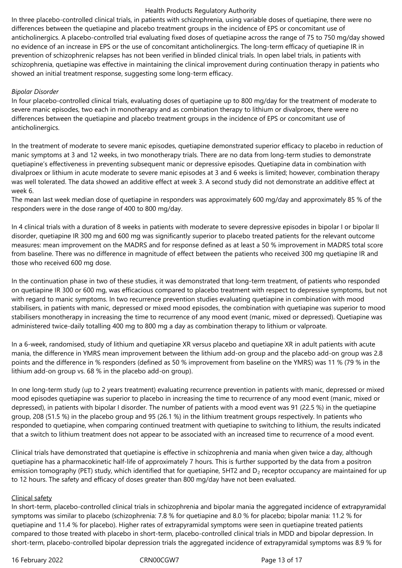In three placebo-controlled clinical trials, in patients with schizophrenia, using variable doses of quetiapine, there were no differences between the quetiapine and placebo treatment groups in the incidence of EPS or concomitant use of anticholinergics. A placebo-controlled trial evaluating fixed doses of quetiapine across the range of 75 to 750 mg/day showed no evidence of an increase in EPS or the use of concomitant anticholinergics. The long-term efficacy of quetiapine IR in prevention of schizophrenic relapses has not been verified in blinded clinical trials. In open label trials, in patients with schizophrenia, quetiapine was effective in maintaining the clinical improvement during continuation therapy in patients who showed an initial treatment response, suggesting some long-term efficacy.

#### *Bipolar Disorder*

In four placebo-controlled clinical trials, evaluating doses of quetiapine up to 800 mg/day for the treatment of moderate to severe manic episodes, two each in monotherapy and as combination therapy to lithium or divalproex, there were no differences between the quetiapine and placebo treatment groups in the incidence of EPS or concomitant use of anticholinergics.

In the treatment of moderate to severe manic episodes, quetiapine demonstrated superior efficacy to placebo in reduction of manic symptoms at 3 and 12 weeks, in two monotherapy trials. There are no data from long-term studies to demonstrate quetiapine's effectiveness in preventing subsequent manic or depressive episodes. Quetiapine data in combination with divalproex or lithium in acute moderate to severe manic episodes at 3 and 6 weeks is limited; however, combination therapy was well tolerated. The data showed an additive effect at week 3. A second study did not demonstrate an additive effect at week 6.

The mean last week median dose of quetiapine in responders was approximately 600 mg/day and approximately 85 % of the responders were in the dose range of 400 to 800 mg/day.

In 4 clinical trials with a duration of 8 weeks in patients with moderate to severe depressive episodes in bipolar I or bipolar II disorder, quetiapine IR 300 mg and 600 mg was significantly superior to placebo treated patients for the relevant outcome measures: mean improvement on the MADRS and for response defined as at least a 50 % improvement in MADRS total score from baseline. There was no difference in magnitude of effect between the patients who received 300 mg quetiapine IR and those who received 600 mg dose.

In the continuation phase in two of these studies, it was demonstrated that long-term treatment, of patients who responded on quetiapine IR 300 or 600 mg, was efficacious compared to placebo treatment with respect to depressive symptoms, but not with regard to manic symptoms. In two recurrence prevention studies evaluating quetiapine in combination with mood stabilisers, in patients with manic, depressed or mixed mood episodes, the combination with quetiapine was superior to mood stabilisers monotherapy in increasing the time to recurrence of any mood event (manic, mixed or depressed). Quetiapine was administered twice-daily totalling 400 mg to 800 mg a day as combination therapy to lithium or valproate.

In a 6-week, randomised, study of lithium and quetiapine XR versus placebo and quetiapine XR in adult patients with acute mania, the difference in YMRS mean improvement between the lithium add-on group and the placebo add-on group was 2.8 points and the difference in % responders (defined as 50 % improvement from baseline on the YMRS) was 11 % (79 % in the lithium add-on group vs. 68 % in the placebo add-on group).

In one long-term study (up to 2 years treatment) evaluating recurrence prevention in patients with manic, depressed or mixed mood episodes quetiapine was superior to placebo in increasing the time to recurrence of any mood event (manic, mixed or depressed), in patients with bipolar I disorder. The number of patients with a mood event was 91 (22.5 %) in the quetiapine group, 208 (51.5 %) in the placebo group and 95 (26.1 %) in the lithium treatment groups respectively. In patients who responded to quetiapine, when comparing continued treatment with quetiapine to switching to lithium, the results indicated that a switch to lithium treatment does not appear to be associated with an increased time to recurrence of a mood event.

Clinical trials have demonstrated that quetiapine is effective in schizophrenia and mania when given twice a day, although quetiapine has a pharmacokinetic half-life of approximately 7 hours. This is further supported by the data from a positron emission tomography (PET) study, which identified that for quetiapine, 5HT2 and  $D<sub>2</sub>$  receptor occupancy are maintained for up to 12 hours. The safety and efficacy of doses greater than 800 mg/day have not been evaluated.

#### Clinical safety

In short-term, placebo-controlled clinical trials in schizophrenia and bipolar mania the aggregated incidence of extrapyramidal symptoms was similar to placebo (schizophrenia: 7.8 % for quetiapine and 8.0 % for placebo; bipolar mania: 11.2 % for quetiapine and 11.4 % for placebo). Higher rates of extrapyramidal symptoms were seen in quetiapine treated patients compared to those treated with placebo in short-term, placebo-controlled clinical trials in MDD and bipolar depression. In short-term, placebo-controlled bipolar depression trials the aggregated incidence of extrapyramidal symptoms was 8.9 % for

16 February 2022 CRN00CGW7 Page 13 of 17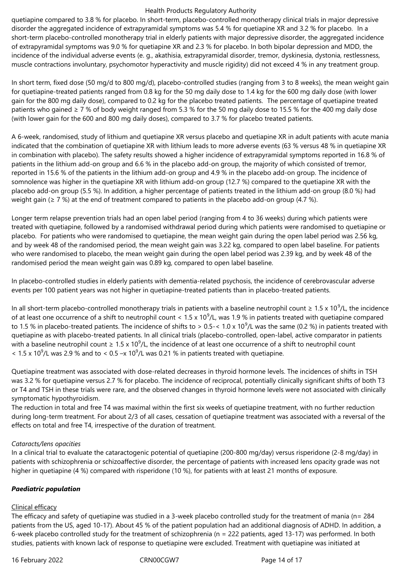quetiapine compared to 3.8 % for placebo. In short-term, placebo-controlled monotherapy clinical trials in major depressive disorder the aggregated incidence of extrapyramidal symptoms was 5.4 % for quetiapine XR and 3.2 % for placebo. In a short-term placebo-controlled monotherapy trial in elderly patients with major depressive disorder, the aggregated incidence of extrapyramidal symptoms was 9.0 % for quetiapine XR and 2.3 % for placebo. In both bipolar depression and MDD, the incidence of the individual adverse events (e. g., akathisia, extrapyramidal disorder, tremor, dyskinesia, dystonia, restlessness, muscle contractions involuntary, psychomotor hyperactivity and muscle rigidity) did not exceed 4 % in any treatment group.

In short term, fixed dose (50 mg/d to 800 mg/d), placebo-controlled studies (ranging from 3 to 8 weeks), the mean weight gain for quetiapine-treated patients ranged from 0.8 kg for the 50 mg daily dose to 1.4 kg for the 600 mg daily dose (with lower gain for the 800 mg daily dose), compared to 0.2 kg for the placebo treated patients. The percentage of quetiapine treated patients who gained ≥ 7 % of body weight ranged from 5.3 % for the 50 mg daily dose to 15.5 % for the 400 mg daily dose (with lower gain for the 600 and 800 mg daily doses), compared to 3.7 % for placebo treated patients.

A 6-week, randomised, study of lithium and quetiapine XR versus placebo and quetiapine XR in adult patients with acute mania indicated that the combination of quetiapine XR with lithium leads to more adverse events (63 % versus 48 % in quetiapine XR in combination with placebo). The safety results showed a higher incidence of extrapyramidal symptoms reported in 16.8 % of patients in the lithium add-on group and 6.6 % in the placebo add-on group, the majority of which consisted of tremor, reported in 15.6 % of the patients in the lithium add-on group and 4.9 % in the placebo add-on group. The incidence of somnolence was higher in the quetiapine XR with lithium add-on group (12.7 %) compared to the quetiapine XR with the placebo add-on group (5.5 %). In addition, a higher percentage of patients treated in the lithium add-on group (8.0 %) had weight gain ( $\geq$  7 %) at the end of treatment compared to patients in the placebo add-on group (4.7 %).

Longer term relapse prevention trials had an open label period (ranging from 4 to 36 weeks) during which patients were treated with quetiapine, followed by a randomised withdrawal period during which patients were randomised to quetiapine or placebo. For patients who were randomised to quetiapine, the mean weight gain during the open label period was 2.56 kg, and by week 48 of the randomised period, the mean weight gain was 3.22 kg, compared to open label baseline. For patients who were randomised to placebo, the mean weight gain during the open label period was 2.39 kg, and by week 48 of the randomised period the mean weight gain was 0.89 kg, compared to open label baseline.

In placebo-controlled studies in elderly patients with dementia-related psychosis, the incidence of cerebrovascular adverse events per 100 patient years was not higher in quetiapine-treated patients than in placebo-treated patients.

In all short-term placebo-controlled monotherapy trials in patients with a baseline neutrophil count ≥ 1.5 x 10<sup>9</sup>/L, the incidence of at least one occurrence of a shift to neutrophil count <  $1.5 \times 10^9$ /L, was 1.9 % in patients treated with quetiapine compared to 1.5 % in placebo-treated patients. The incidence of shifts to > 0.5-< 1.0 x 10<sup>9</sup>/L was the same (0.2 %) in patients treated with quetiapine as with placebo-treated patients. In all clinical trials (placebo-controlled, open-label, active comparator in patients with a baseline neutrophil count  $\geq 1.5 \times 10^9$ /L, the incidence of at least one occurrence of a shift to neutrophil count < 1.5 x 10<sup>9</sup>/L was 2.9 % and to < 0.5 -x 10<sup>9</sup>/L was 0.21 % in patients treated with quetiapine.

Quetiapine treatment was associated with dose-related decreases in thyroid hormone levels. The incidences of shifts in TSH was 3.2 % for quetiapine versus 2.7 % for placebo. The incidence of reciprocal, potentially clinically significant shifts of both T3 or T4 and TSH in these trials were rare, and the observed changes in thyroid hormone levels were not associated with clinically symptomatic hypothyroidism.

The reduction in total and free T4 was maximal within the first six weeks of quetiapine treatment, with no further reduction during long-term treatment. For about 2/3 of all cases, cessation of quetiapine treatment was associated with a reversal of the effects on total and free T4, irrespective of the duration of treatment.

#### *Cataracts/lens opacities*

In a clinical trial to evaluate the cataractogenic potential of quetiapine (200-800 mg/day) versus risperidone (2-8 mg/day) in patients with schizophrenia or schizoaffective disorder, the percentage of patients with increased lens opacity grade was not higher in quetiapine (4 %) compared with risperidone (10 %), for patients with at least 21 months of exposure.

## *Paediatric population*

#### Clinical efficacy

The efficacy and safety of quetiapine was studied in a 3-week placebo controlled study for the treatment of mania (n= 284 patients from the US, aged 10-17). About 45 % of the patient population had an additional diagnosis of ADHD. In addition, a 6-week placebo controlled study for the treatment of schizophrenia (n = 222 patients, aged 13-17) was performed. In both studies, patients with known lack of response to quetiapine were excluded. Treatment with quetiapine was initiated at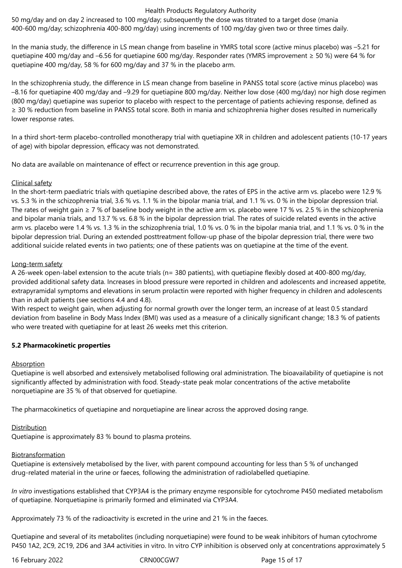50 mg/day and on day 2 increased to 100 mg/day; subsequently the dose was titrated to a target dose (mania 400-600 mg/day; schizophrenia 400-800 mg/day) using increments of 100 mg/day given two or three times daily.

In the mania study, the difference in LS mean change from baseline in YMRS total score (active minus placebo) was –5.21 for quetiapine 400 mg/day and –6.56 for quetiapine 600 mg/day. Responder rates (YMRS improvement ≥ 50 %) were 64 % for quetiapine 400 mg/day, 58 % for 600 mg/day and 37 % in the placebo arm.

In the schizophrenia study, the difference in LS mean change from baseline in PANSS total score (active minus placebo) was –8.16 for quetiapine 400 mg/day and –9.29 for quetiapine 800 mg/day. Neither low dose (400 mg/day) nor high dose regimen (800 mg/day) quetiapine was superior to placebo with respect to the percentage of patients achieving response, defined as ≥ 30 % reduction from baseline in PANSS total score. Both in mania and schizophrenia higher doses resulted in numerically lower response rates.

In a third short-term placebo-controlled monotherapy trial with quetiapine XR in children and adolescent patients (10-17 years of age) with bipolar depression, efficacy was not demonstrated.

No data are available on maintenance of effect or recurrence prevention in this age group.

### Clinical safety

In the short-term paediatric trials with quetiapine described above, the rates of EPS in the active arm vs. placebo were 12.9 % vs. 5.3 % in the schizophrenia trial, 3.6 % vs. 1.1 % in the bipolar mania trial, and 1.1 % vs. 0 % in the bipolar depression trial. The rates of weight gain  $\geq 7$  % of baseline body weight in the active arm vs. placebo were 17 % vs. 2.5 % in the schizophrenia and bipolar mania trials, and 13.7 % vs. 6.8 % in the bipolar depression trial. The rates of suicide related events in the active arm vs. placebo were 1.4 % vs. 1.3 % in the schizophrenia trial, 1.0 % vs. 0 % in the bipolar mania trial, and 1.1 % vs. 0 % in the bipolar depression trial. During an extended posttreatment follow-up phase of the bipolar depression trial, there were two additional suicide related events in two patients; one of these patients was on quetiapine at the time of the event.

### Long-term safety

A 26-week open-label extension to the acute trials (n= 380 patients), with quetiapine flexibly dosed at 400-800 mg/day, provided additional safety data. Increases in blood pressure were reported in children and adolescents and increased appetite, extrapyramidal symptoms and elevations in serum prolactin were reported with higher frequency in children and adolescents than in adult patients (see sections 4.4 and 4.8).

With respect to weight gain, when adjusting for normal growth over the longer term, an increase of at least 0.5 standard deviation from baseline in Body Mass Index (BMI) was used as a measure of a clinically significant change; 18.3 % of patients who were treated with quetiapine for at least 26 weeks met this criterion.

## **5.2 Pharmacokinetic properties**

#### **Absorption**

Quetiapine is well absorbed and extensively metabolised following oral administration. The bioavailability of quetiapine is not significantly affected by administration with food. Steady-state peak molar concentrations of the active metabolite norquetiapine are 35 % of that observed for quetiapine.

The pharmacokinetics of quetiapine and norquetiapine are linear across the approved dosing range.

## **Distribution**

Quetiapine is approximately 83 % bound to plasma proteins.

#### **Biotransformation**

Quetiapine is extensively metabolised by the liver, with parent compound accounting for less than 5 % of unchanged drug-related material in the urine or faeces, following the administration of radiolabelled quetiapine.

*In vitro* investigations established that CYP3A4 is the primary enzyme responsible for cytochrome P450 mediated metabolism of quetiapine. Norquetiapine is primarily formed and eliminated via CYP3A4.

Approximately 73 % of the radioactivity is excreted in the urine and 21 % in the faeces.

Quetiapine and several of its metabolites (including norquetiapine) were found to be weak inhibitors of human cytochrome P450 1A2, 2C9, 2C19, 2D6 and 3A4 activities in vitro. In vitro CYP inhibition is observed only at concentrations approximately 5

16 February 2022 CRN00CGW7 Page 15 of 17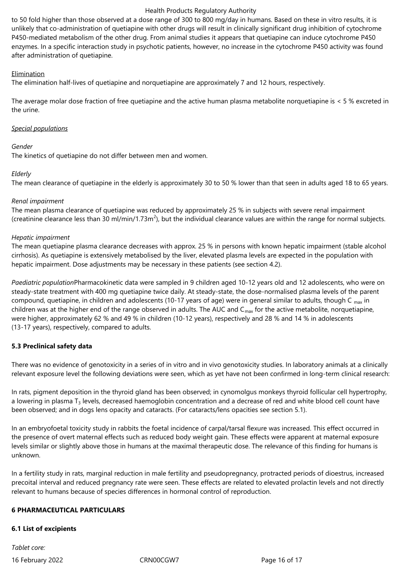to 50 fold higher than those observed at a dose range of 300 to 800 mg/day in humans. Based on these in vitro results, it is unlikely that co-administration of quetiapine with other drugs will result in clinically significant drug inhibition of cytochrome P450-mediated metabolism of the other drug. From animal studies it appears that quetiapine can induce cytochrome P450 enzymes. In a specific interaction study in psychotic patients, however, no increase in the cytochrome P450 activity was found after administration of quetiapine.

#### Elimination

The elimination half-lives of quetiapine and norquetiapine are approximately 7 and 12 hours, respectively.

The average molar dose fraction of free quetiapine and the active human plasma metabolite norquetiapine is < 5 % excreted in the urine.

### *Special populations*

### *Gender*

The kinetics of quetiapine do not differ between men and women.

## *Elderly*

The mean clearance of quetiapine in the elderly is approximately 30 to 50 % lower than that seen in adults aged 18 to 65 years.

### *Renal impairment*

The mean plasma clearance of quetiapine was reduced by approximately 25 % in subjects with severe renal impairment (creatinine clearance less than 30 ml/min/1.73m<sup>2</sup>), but the individual clearance values are within the range for normal subjects.

### *Hepatic impairment*

The mean quetiapine plasma clearance decreases with approx. 25 % in persons with known hepatic impairment (stable alcohol cirrhosis). As quetiapine is extensively metabolised by the liver, elevated plasma levels are expected in the population with hepatic impairment. Dose adjustments may be necessary in these patients (see section 4.2).

*Paediatric population*Pharmacokinetic data were sampled in 9 children aged 10‑12 years old and 12 adolescents, who were on steady-state treatment with 400 mg quetiapine twice daily. At steady-state, the dose-normalised plasma levels of the parent compound, quetiapine, in children and adolescents (10-17 years of age) were in general similar to adults, though  $C_{max}$  in children was at the higher end of the range observed in adults. The AUC and  $C_{\text{max}}$  for the active metabolite, norquetiapine, were higher, approximately 62 % and 49 % in children (10-12 years), respectively and 28 % and 14 % in adolescents (13‑17 years), respectively, compared to adults.

## **5.3 Preclinical safety data**

There was no evidence of genotoxicity in a series of in vitro and in vivo genotoxicity studies. In laboratory animals at a clinically relevant exposure level the following deviations were seen, which as yet have not been confirmed in long-term clinical research:

In rats, pigment deposition in the thyroid gland has been observed; in cynomolgus monkeys thyroid follicular cell hypertrophy, a lowering in plasma  $T_3$  levels, decreased haemoglobin concentration and a decrease of red and white blood cell count have been observed; and in dogs lens opacity and cataracts. (For cataracts/lens opacities see section 5.1).

In an embryofoetal toxicity study in rabbits the foetal incidence of carpal/tarsal flexure was increased. This effect occurred in the presence of overt maternal effects such as reduced body weight gain. These effects were apparent at maternal exposure levels similar or slightly above those in humans at the maximal therapeutic dose. The relevance of this finding for humans is unknown.

In a fertility study in rats, marginal reduction in male fertility and pseudopregnancy, protracted periods of dioestrus, increased precoital interval and reduced pregnancy rate were seen. These effects are related to elevated prolactin levels and not directly relevant to humans because of species differences in hormonal control of reproduction.

## **6 PHARMACEUTICAL PARTICULARS**

## **6.1 List of excipients**

16 February 2022 CRN00CGW7 Page 16 of 17 *Tablet core:*